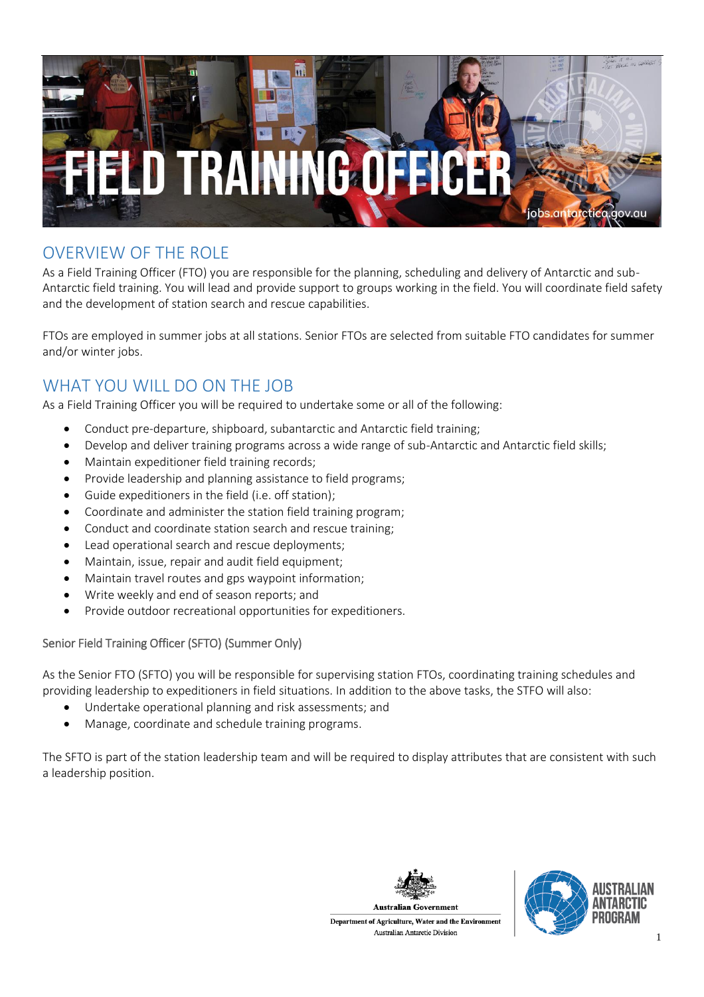

# OVERVIEW OF THE ROLE

As a Field Training Officer (FTO) you are responsible for the planning, scheduling and delivery of Antarctic and sub-Antarctic field training. You will lead and provide support to groups working in the field. You will coordinate field safety and the development of station search and rescue capabilities.

FTOs are employed in summer jobs at all stations. Senior FTOs are selected from suitable FTO candidates for summer and/or winter jobs.

# WHAT YOU WILL DO ON THE JOB

As a Field Training Officer you will be required to undertake some or all of the following:

- Conduct pre-departure, shipboard, subantarctic and Antarctic field training;
- Develop and deliver training programs across a wide range of sub-Antarctic and Antarctic field skills;
- Maintain expeditioner field training records;
- Provide leadership and planning assistance to field programs;
- Guide expeditioners in the field (i.e. off station);
- Coordinate and administer the station field training program;
- Conduct and coordinate station search and rescue training;
- Lead operational search and rescue deployments;
- Maintain, issue, repair and audit field equipment;
- Maintain travel routes and gps waypoint information;
- Write weekly and end of season reports; and
- Provide outdoor recreational opportunities for expeditioners.

#### Senior Field Training Officer (SFTO) (Summer Only)

As the Senior FTO (SFTO) you will be responsible for supervising station FTOs, coordinating training schedules and providing leadership to expeditioners in field situations. In addition to the above tasks, the STFO will also:

- Undertake operational planning and risk assessments; and
- Manage, coordinate and schedule training programs.

The SFTO is part of the station leadership team and will be required to display attributes that are consistent with such a leadership position.



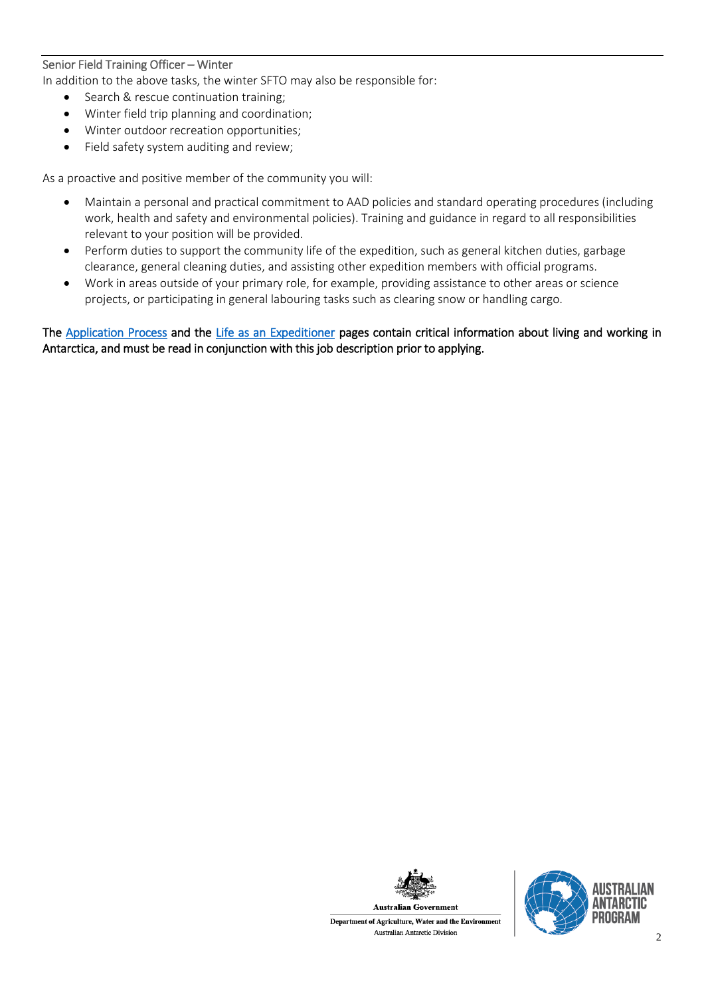#### Senior Field Training Officer – Winter

In addition to the above tasks, the winter SFTO may also be responsible for:

- Search & rescue continuation training;
- Winter field trip planning and coordination;
- Winter outdoor recreation opportunities;
- Field safety system auditing and review;

As a proactive and positive member of the community you will:

- Maintain a personal and practical commitment to AAD policies and standard operating procedures (including work, health and safety and environmental policies). Training and guidance in regard to all responsibilities relevant to your position will be provided.
- Perform duties to support the community life of the expedition, such as general kitchen duties, garbage clearance, general cleaning duties, and assisting other expedition members with official programs.
- Work in areas outside of your primary role, for example, providing assistance to other areas or science projects, or participating in general labouring tasks such as clearing snow or handling cargo.

The [Application Process](https://jobs.antarctica.gov.au/living-and-working-in-antarctica/application-process/) and the [Life as an Expeditioner](https://jobs.antarctica.gov.au/living-and-working-in-antarctica/life-as-an-expeditioner/) pages contain critical information about living and working in Antarctica, and must be read in conjunction with this job description prior to applying.



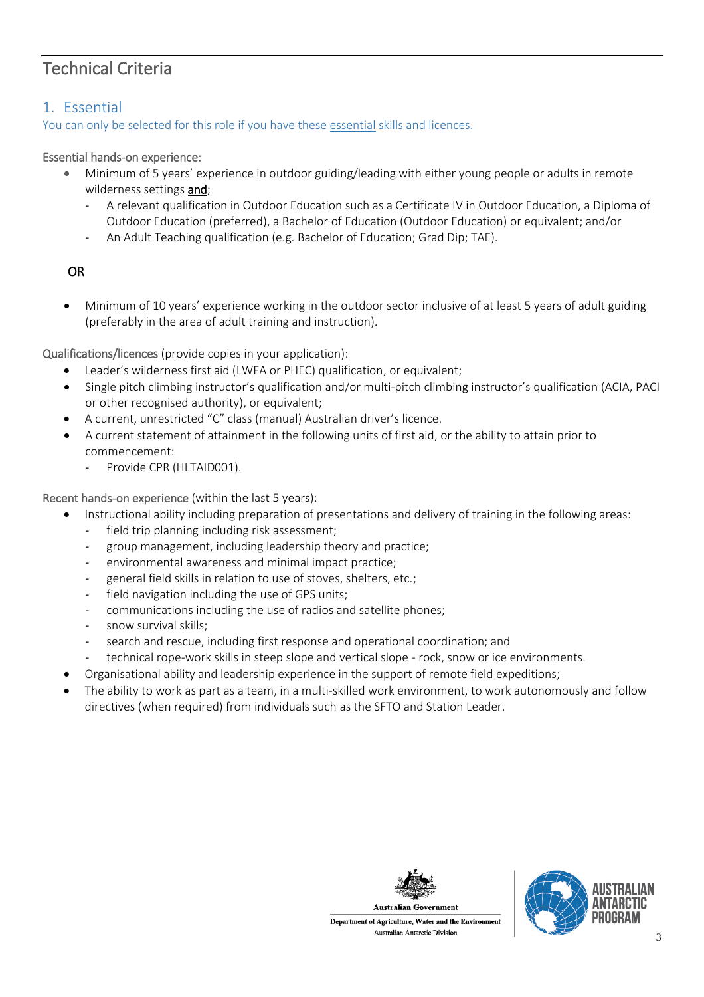# Technical Criteria

## 1. Essential

You can only be selected for this role if you have these essential skills and licences.

### Essential hands-on experience:

- Minimum of 5 years' experience in outdoor guiding/leading with either young people or adults in remote wilderness settings and;
	- A relevant qualification in Outdoor Education such as a Certificate IV in Outdoor Education, a Diploma of Outdoor Education (preferred), a Bachelor of Education (Outdoor Education) or equivalent; and/or
	- An Adult Teaching qualification (e.g. Bachelor of Education; Grad Dip; TAE).

## OR

• Minimum of 10 years' experience working in the outdoor sector inclusive of at least 5 years of adult guiding (preferably in the area of adult training and instruction).

Qualifications/licences (provide copies in your application):

- Leader's wilderness first aid (LWFA or PHEC) qualification, or equivalent;
- Single pitch climbing instructor's qualification and/or multi-pitch climbing instructor's qualification (ACIA, PACI or other recognised authority), or equivalent;
- A current, unrestricted "C" class (manual) Australian driver's licence.
- A current statement of attainment in the following units of first aid, or the ability to attain prior to commencement:
	- Provide CPR (HLTAID001).

Recent hands-on experience (within the last 5 years):

- Instructional ability including preparation of presentations and delivery of training in the following areas:
	- field trip planning including risk assessment;
	- group management, including leadership theory and practice;
	- environmental awareness and minimal impact practice;
	- general field skills in relation to use of stoves, shelters, etc.;
	- field navigation including the use of GPS units;
	- communications including the use of radios and satellite phones;
	- snow survival skills;
	- search and rescue, including first response and operational coordination; and
	- technical rope-work skills in steep slope and vertical slope rock, snow or ice environments.
- Organisational ability and leadership experience in the support of remote field expeditions;
- The ability to work as part as a team, in a multi-skilled work environment, to work autonomously and follow directives (when required) from individuals such as the SFTO and Station Leader.





Department of Agriculture, Water and the Environment Australian Antarctic Division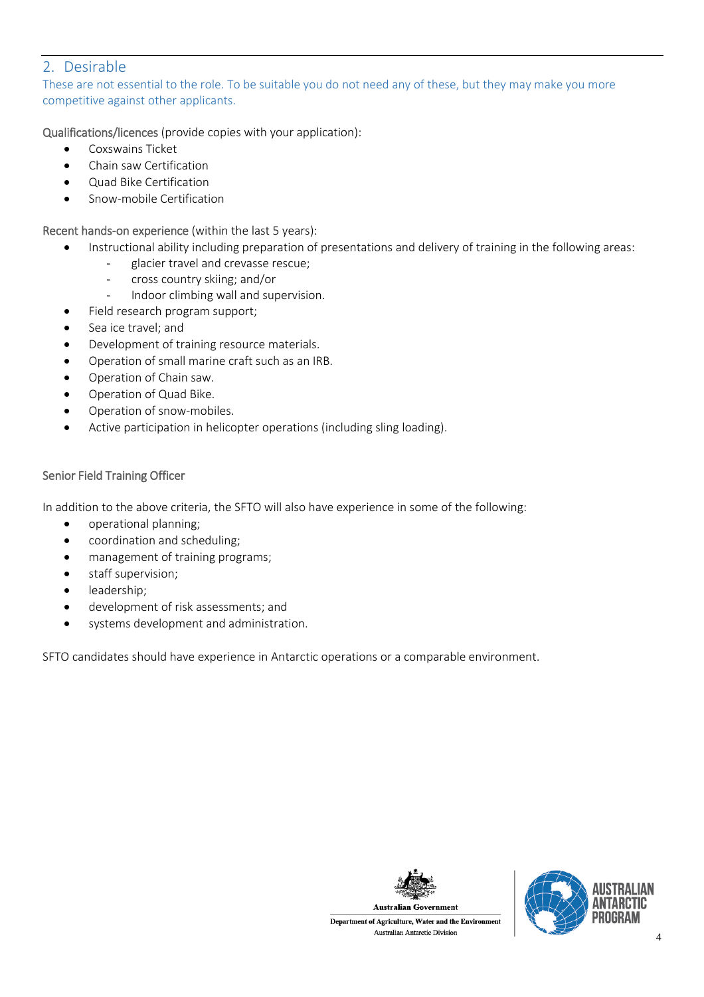## 2. Desirable

These are not essential to the role. To be suitable you do not need any of these, but they may make you more competitive against other applicants.

Qualifications/licences (provide copies with your application):

- Coxswains Ticket
- Chain saw Certification
- Quad Bike Certification
- Snow-mobile Certification

Recent hands-on experience (within the last 5 years):

- Instructional ability including preparation of presentations and delivery of training in the following areas:
	- glacier travel and crevasse rescue;
	- cross country skiing; and/or
	- Indoor climbing wall and supervision.
- Field research program support;
- Sea ice travel; and
- Development of training resource materials.
- Operation of small marine craft such as an IRB.
- Operation of Chain saw.
- Operation of Quad Bike.
- Operation of snow-mobiles.
- Active participation in helicopter operations (including sling loading).

#### Senior Field Training Officer

In addition to the above criteria, the SFTO will also have experience in some of the following:

- operational planning;
- coordination and scheduling;
- management of training programs;
- staff supervision;
- leadership;
- development of risk assessments; and
- systems development and administration.

SFTO candidates should have experience in Antarctic operations or a comparable environment.



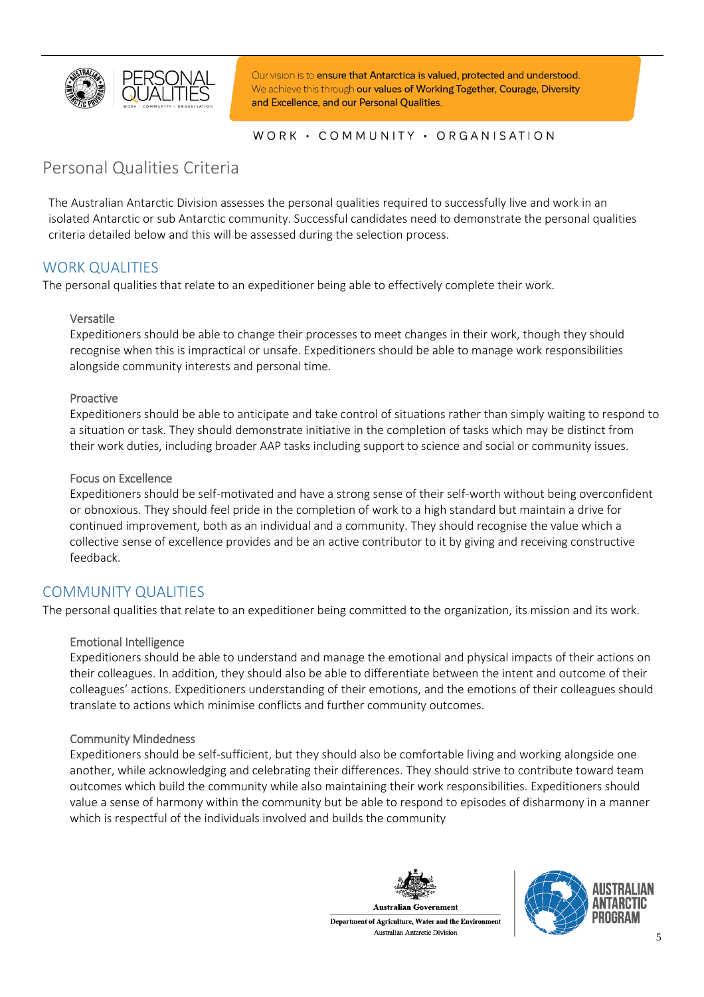

Our vision is to ensure that Antarctica is valued, protected and understood. We achieve this through our values of Working Together, Courage, Diversity and Excellence, and our Personal Qualities.

#### WORK · COMMUNITY · ORGANISATION

## Personal Qualities Criteria

The Australian Antarctic Division assesses the personal qualities required to successfully live and work in an isolated Antarctic or sub Antarctic community. Successful candidates need to demonstrate the personal qualities criteria detailed below and this will be assessed during the selection process.

## WORK QUALITIES

The personal qualities that relate to an expeditioner being able to effectively complete their work.

#### Versatile

Expeditioners should be able to change their processes to meet changes in their work, though they should recognise when this is impractical or unsafe. Expeditioners should be able to manage work responsibilities alongside community interests and personal time.

#### Proactive

Expeditioners should be able to anticipate and take control of situations rather than simply waiting to respond to a situation or task. They should demonstrate initiative in the completion of tasks which may be distinct from their work duties, including broader AAP tasks including support to science and social or community issues.

#### Focus on Excellence

Expeditioners should be self-motivated and have a strong sense of their self-worth without being overconfident or obnoxious. They should feel pride in the completion of work to a high standard but maintain a drive for continued improvement, both as an individual and a community. They should recognise the value which a collective sense of excellence provides and be an active contributor to it by giving and receiving constructive feedback.

### COMMUNITY QUALITIES

The personal qualities that relate to an expeditioner being committed to the organization, its mission and its work.

#### Emotional Intelligence

Expeditioners should be able to understand and manage the emotional and physical impacts of their actions on their colleagues. In addition, they should also be able to differentiate between the intent and outcome of their colleagues' actions. Expeditioners understanding of their emotions, and the emotions of their colleagues should translate to actions which minimise conflicts and further community outcomes.

#### Community Mindedness

Expeditioners should be self-sufficient, but they should also be comfortable living and working alongside one another, while acknowledging and celebrating their differences. They should strive to contribute toward team outcomes which build the community while also maintaining their work responsibilities. Expeditioners should value a sense of harmony within the community but be able to respond to episodes of disharmony in a manner which is respectful of the individuals involved and builds the community



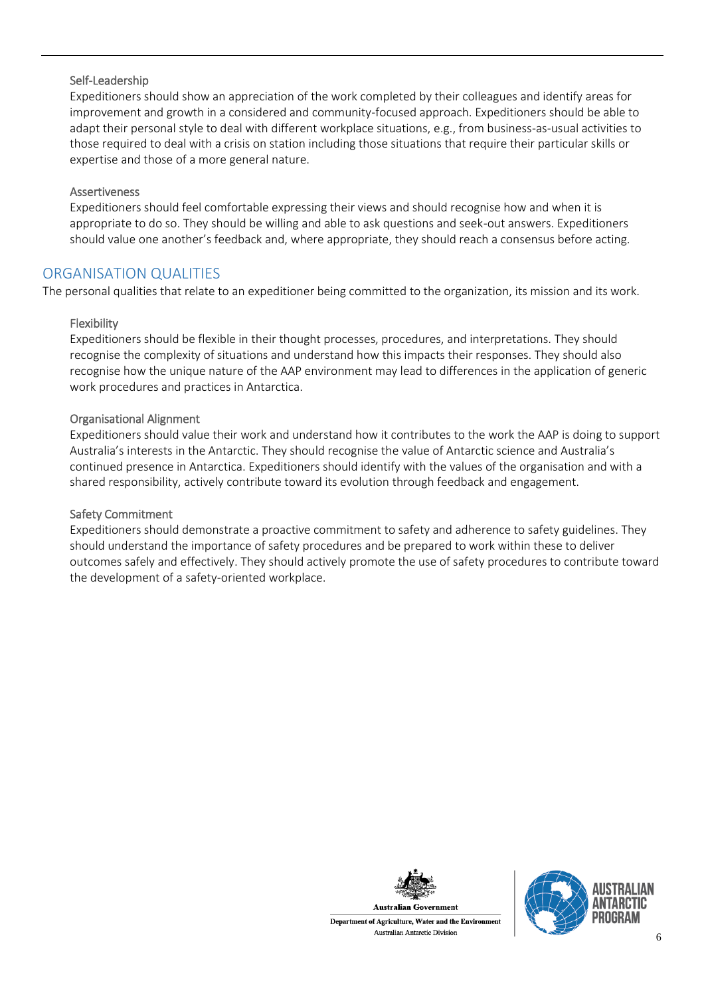#### Self-Leadership

Expeditioners should show an appreciation of the work completed by their colleagues and identify areas for improvement and growth in a considered and community-focused approach. Expeditioners should be able to adapt their personal style to deal with different workplace situations, e.g., from business-as-usual activities to those required to deal with a crisis on station including those situations that require their particular skills or expertise and those of a more general nature.

#### Assertiveness

Expeditioners should feel comfortable expressing their views and should recognise how and when it is appropriate to do so. They should be willing and able to ask questions and seek-out answers. Expeditioners should value one another's feedback and, where appropriate, they should reach a consensus before acting.

## ORGANISATION QUALITIES

The personal qualities that relate to an expeditioner being committed to the organization, its mission and its work.

#### Flexibility

Expeditioners should be flexible in their thought processes, procedures, and interpretations. They should recognise the complexity of situations and understand how this impacts their responses. They should also recognise how the unique nature of the AAP environment may lead to differences in the application of generic work procedures and practices in Antarctica.

#### Organisational Alignment

Expeditioners should value their work and understand how it contributes to the work the AAP is doing to support Australia's interests in the Antarctic. They should recognise the value of Antarctic science and Australia's continued presence in Antarctica. Expeditioners should identify with the values of the organisation and with a shared responsibility, actively contribute toward its evolution through feedback and engagement.

#### Safety Commitment

Expeditioners should demonstrate a proactive commitment to safety and adherence to safety guidelines. They should understand the importance of safety procedures and be prepared to work within these to deliver outcomes safely and effectively. They should actively promote the use of safety procedures to contribute toward the development of a safety-oriented workplace.



Department of Agriculture, Water and the Environment Australian Antarctic Division